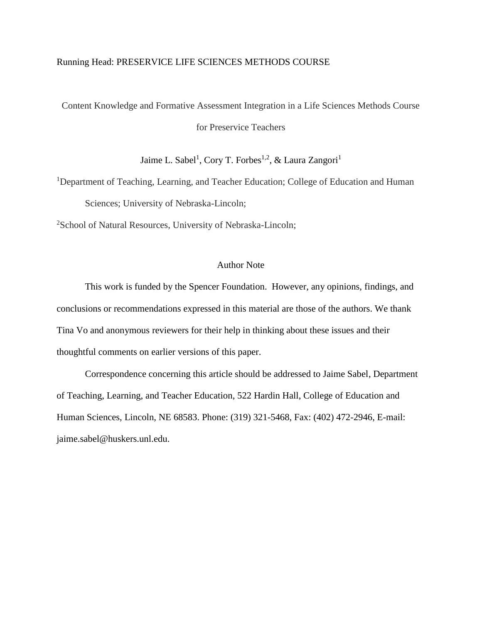### Running Head: PRESERVICE LIFE SCIENCES METHODS COURSE

Content Knowledge and Formative Assessment Integration in a Life Sciences Methods Course for Preservice Teachers

Jaime L. Sabel<sup>1</sup>, Cory T. Forbes<sup>1,2</sup>, & Laura Zangori<sup>1</sup>

<sup>1</sup>Department of Teaching, Learning, and Teacher Education; College of Education and Human Sciences; University of Nebraska-Lincoln;

<sup>2</sup>School of Natural Resources, University of Nebraska-Lincoln;

# Author Note

This work is funded by the Spencer Foundation. However, any opinions, findings, and conclusions or recommendations expressed in this material are those of the authors. We thank Tina Vo and anonymous reviewers for their help in thinking about these issues and their thoughtful comments on earlier versions of this paper.

Correspondence concerning this article should be addressed to Jaime Sabel, Department of Teaching, Learning, and Teacher Education, 522 Hardin Hall, College of Education and Human Sciences, Lincoln, NE 68583. Phone: (319) 321-5468, Fax: (402) 472-2946, E-mail: jaime.sabel@huskers.unl.edu.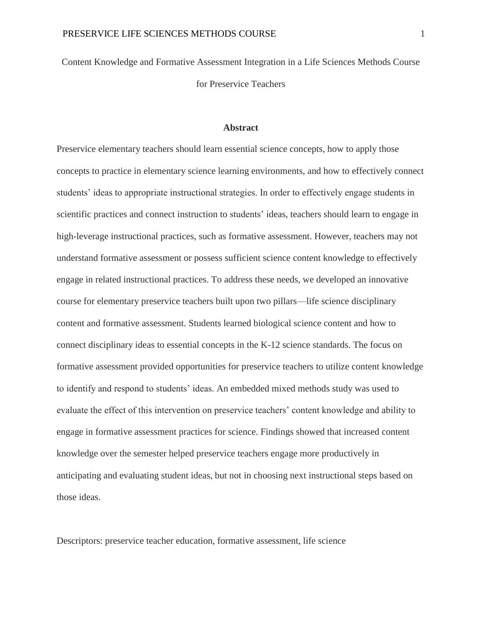Content Knowledge and Formative Assessment Integration in a Life Sciences Methods Course for Preservice Teachers

### **Abstract**

Preservice elementary teachers should learn essential science concepts, how to apply those concepts to practice in elementary science learning environments, and how to effectively connect students' ideas to appropriate instructional strategies. In order to effectively engage students in scientific practices and connect instruction to students' ideas, teachers should learn to engage in high-leverage instructional practices, such as formative assessment. However, teachers may not understand formative assessment or possess sufficient science content knowledge to effectively engage in related instructional practices. To address these needs, we developed an innovative course for elementary preservice teachers built upon two pillars—life science disciplinary content and formative assessment. Students learned biological science content and how to connect disciplinary ideas to essential concepts in the K-12 science standards. The focus on formative assessment provided opportunities for preservice teachers to utilize content knowledge to identify and respond to students' ideas. An embedded mixed methods study was used to evaluate the effect of this intervention on preservice teachers' content knowledge and ability to engage in formative assessment practices for science. Findings showed that increased content knowledge over the semester helped preservice teachers engage more productively in anticipating and evaluating student ideas, but not in choosing next instructional steps based on those ideas.

Descriptors: preservice teacher education, formative assessment, life science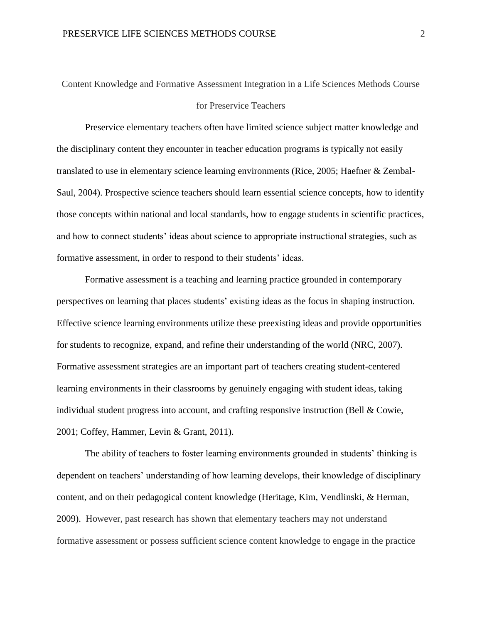# Content Knowledge and Formative Assessment Integration in a Life Sciences Methods Course for Preservice Teachers

Preservice elementary teachers often have limited science subject matter knowledge and the disciplinary content they encounter in teacher education programs is typically not easily translated to use in elementary science learning environments (Rice, 2005; Haefner & Zembal-Saul, 2004). Prospective science teachers should learn essential science concepts, how to identify those concepts within national and local standards, how to engage students in scientific practices, and how to connect students' ideas about science to appropriate instructional strategies, such as formative assessment, in order to respond to their students' ideas.

Formative assessment is a teaching and learning practice grounded in contemporary perspectives on learning that places students' existing ideas as the focus in shaping instruction. Effective science learning environments utilize these preexisting ideas and provide opportunities for students to recognize, expand, and refine their understanding of the world (NRC, 2007). Formative assessment strategies are an important part of teachers creating student-centered learning environments in their classrooms by genuinely engaging with student ideas, taking individual student progress into account, and crafting responsive instruction (Bell & Cowie, 2001; Coffey, Hammer, Levin & Grant, 2011).

The ability of teachers to foster learning environments grounded in students' thinking is dependent on teachers' understanding of how learning develops, their knowledge of disciplinary content, and on their pedagogical content knowledge (Heritage, Kim, Vendlinski, & Herman, 2009). However, past research has shown that elementary teachers may not understand formative assessment or possess sufficient science content knowledge to engage in the practice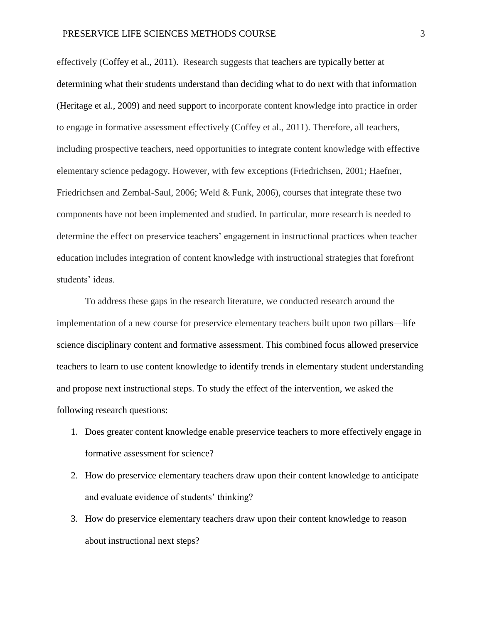effectively (Coffey et al., 2011). Research suggests that teachers are typically better at determining what their students understand than deciding what to do next with that information (Heritage et al., 2009) and need support to incorporate content knowledge into practice in order to engage in formative assessment effectively (Coffey et al., 2011). Therefore, all teachers, including prospective teachers, need opportunities to integrate content knowledge with effective elementary science pedagogy. However, with few exceptions (Friedrichsen, 2001; Haefner, Friedrichsen and Zembal-Saul, 2006; Weld & Funk, 2006), courses that integrate these two components have not been implemented and studied. In particular, more research is needed to determine the effect on preservice teachers' engagement in instructional practices when teacher education includes integration of content knowledge with instructional strategies that forefront students' ideas.

To address these gaps in the research literature, we conducted research around the implementation of a new course for preservice elementary teachers built upon two pillars—life science disciplinary content and formative assessment. This combined focus allowed preservice teachers to learn to use content knowledge to identify trends in elementary student understanding and propose next instructional steps. To study the effect of the intervention, we asked the following research questions:

- 1. Does greater content knowledge enable preservice teachers to more effectively engage in formative assessment for science?
- 2. How do preservice elementary teachers draw upon their content knowledge to anticipate and evaluate evidence of students' thinking?
- 3. How do preservice elementary teachers draw upon their content knowledge to reason about instructional next steps?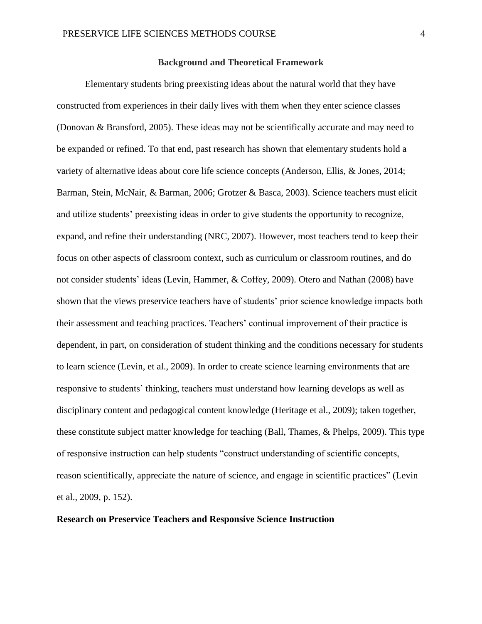# **Background and Theoretical Framework**

Elementary students bring preexisting ideas about the natural world that they have constructed from experiences in their daily lives with them when they enter science classes (Donovan & Bransford, 2005). These ideas may not be scientifically accurate and may need to be expanded or refined. To that end, past research has shown that elementary students hold a variety of alternative ideas about core life science concepts (Anderson, Ellis, & Jones, 2014; Barman, Stein, McNair, & Barman, 2006; Grotzer & Basca, 2003). Science teachers must elicit and utilize students' preexisting ideas in order to give students the opportunity to recognize, expand, and refine their understanding (NRC, 2007). However, most teachers tend to keep their focus on other aspects of classroom context, such as curriculum or classroom routines, and do not consider students' ideas (Levin, Hammer, & Coffey, 2009). Otero and Nathan (2008) have shown that the views preservice teachers have of students' prior science knowledge impacts both their assessment and teaching practices. Teachers' continual improvement of their practice is dependent, in part, on consideration of student thinking and the conditions necessary for students to learn science (Levin, et al., 2009). In order to create science learning environments that are responsive to students' thinking, teachers must understand how learning develops as well as disciplinary content and pedagogical content knowledge (Heritage et al., 2009); taken together, these constitute subject matter knowledge for teaching (Ball, Thames, & Phelps, 2009). This type of responsive instruction can help students "construct understanding of scientific concepts, reason scientifically, appreciate the nature of science, and engage in scientific practices" (Levin et al., 2009, p. 152).

# **Research on Preservice Teachers and Responsive Science Instruction**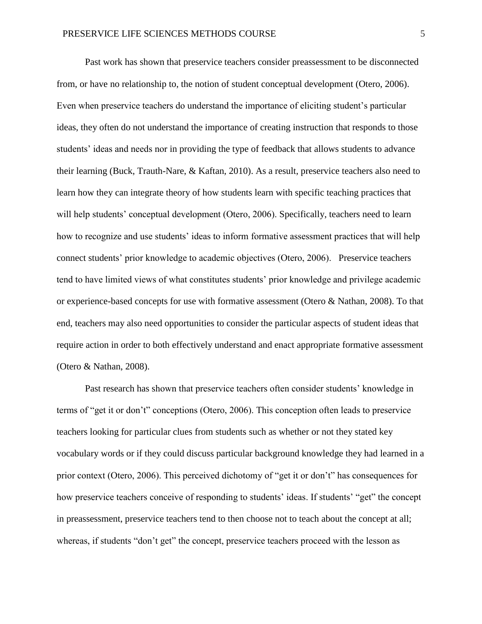Past work has shown that preservice teachers consider preassessment to be disconnected from, or have no relationship to, the notion of student conceptual development (Otero, 2006). Even when preservice teachers do understand the importance of eliciting student's particular ideas, they often do not understand the importance of creating instruction that responds to those students' ideas and needs nor in providing the type of feedback that allows students to advance their learning (Buck, Trauth-Nare, & Kaftan, 2010). As a result, preservice teachers also need to learn how they can integrate theory of how students learn with specific teaching practices that will help students' conceptual development (Otero, 2006). Specifically, teachers need to learn how to recognize and use students' ideas to inform formative assessment practices that will help connect students' prior knowledge to academic objectives (Otero, 2006). Preservice teachers tend to have limited views of what constitutes students' prior knowledge and privilege academic or experience-based concepts for use with formative assessment (Otero & Nathan, 2008). To that end, teachers may also need opportunities to consider the particular aspects of student ideas that require action in order to both effectively understand and enact appropriate formative assessment (Otero & Nathan, 2008).

Past research has shown that preservice teachers often consider students' knowledge in terms of "get it or don't" conceptions (Otero, 2006). This conception often leads to preservice teachers looking for particular clues from students such as whether or not they stated key vocabulary words or if they could discuss particular background knowledge they had learned in a prior context (Otero, 2006). This perceived dichotomy of "get it or don't" has consequences for how preservice teachers conceive of responding to students' ideas. If students' "get" the concept in preassessment, preservice teachers tend to then choose not to teach about the concept at all; whereas, if students "don't get" the concept, preservice teachers proceed with the lesson as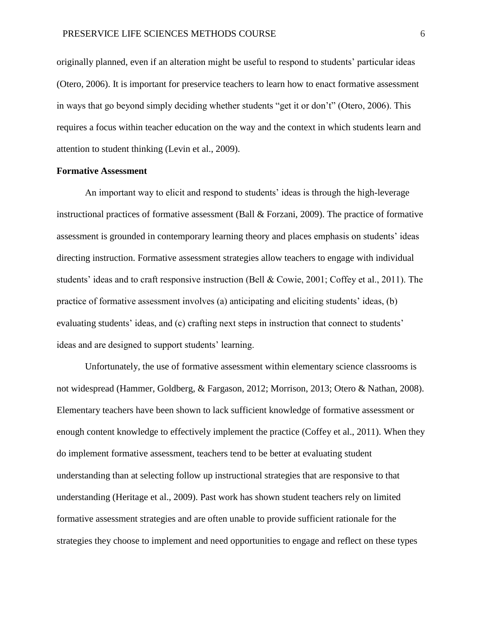originally planned, even if an alteration might be useful to respond to students' particular ideas (Otero, 2006). It is important for preservice teachers to learn how to enact formative assessment in ways that go beyond simply deciding whether students "get it or don't" (Otero, 2006). This requires a focus within teacher education on the way and the context in which students learn and attention to student thinking (Levin et al., 2009).

### **Formative Assessment**

An important way to elicit and respond to students' ideas is through the high-leverage instructional practices of formative assessment (Ball & Forzani, 2009). The practice of formative assessment is grounded in contemporary learning theory and places emphasis on students' ideas directing instruction. Formative assessment strategies allow teachers to engage with individual students' ideas and to craft responsive instruction (Bell & Cowie, 2001; Coffey et al., 2011). The practice of formative assessment involves (a) anticipating and eliciting students' ideas, (b) evaluating students' ideas, and (c) crafting next steps in instruction that connect to students' ideas and are designed to support students' learning.

Unfortunately, the use of formative assessment within elementary science classrooms is not widespread (Hammer, Goldberg, & Fargason, 2012; Morrison, 2013; Otero & Nathan, 2008). Elementary teachers have been shown to lack sufficient knowledge of formative assessment or enough content knowledge to effectively implement the practice (Coffey et al., 2011). When they do implement formative assessment, teachers tend to be better at evaluating student understanding than at selecting follow up instructional strategies that are responsive to that understanding (Heritage et al., 2009). Past work has shown student teachers rely on limited formative assessment strategies and are often unable to provide sufficient rationale for the strategies they choose to implement and need opportunities to engage and reflect on these types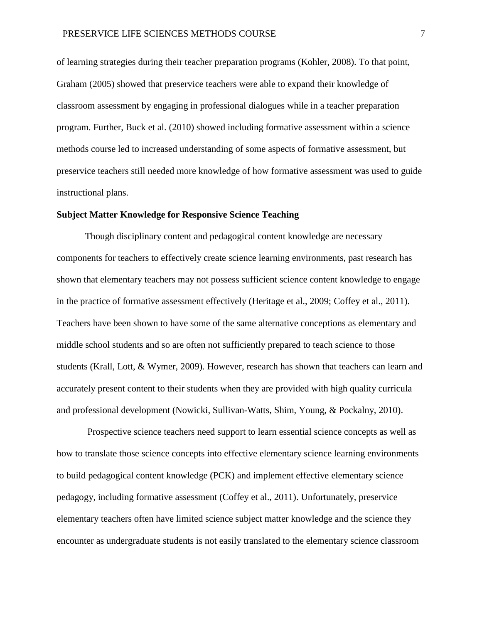of learning strategies during their teacher preparation programs (Kohler, 2008). To that point, Graham (2005) showed that preservice teachers were able to expand their knowledge of classroom assessment by engaging in professional dialogues while in a teacher preparation program. Further, Buck et al. (2010) showed including formative assessment within a science methods course led to increased understanding of some aspects of formative assessment, but preservice teachers still needed more knowledge of how formative assessment was used to guide instructional plans.

# **Subject Matter Knowledge for Responsive Science Teaching**

Though disciplinary content and pedagogical content knowledge are necessary components for teachers to effectively create science learning environments, past research has shown that elementary teachers may not possess sufficient science content knowledge to engage in the practice of formative assessment effectively (Heritage et al., 2009; Coffey et al., 2011). Teachers have been shown to have some of the same alternative conceptions as elementary and middle school students and so are often not sufficiently prepared to teach science to those students (Krall, Lott, & Wymer, 2009). However, research has shown that teachers can learn and accurately present content to their students when they are provided with high quality curricula and professional development (Nowicki, Sullivan-Watts, Shim, Young, & Pockalny, 2010).

Prospective science teachers need support to learn essential science concepts as well as how to translate those science concepts into effective elementary science learning environments to build pedagogical content knowledge (PCK) and implement effective elementary science pedagogy, including formative assessment (Coffey et al., 2011). Unfortunately, preservice elementary teachers often have limited science subject matter knowledge and the science they encounter as undergraduate students is not easily translated to the elementary science classroom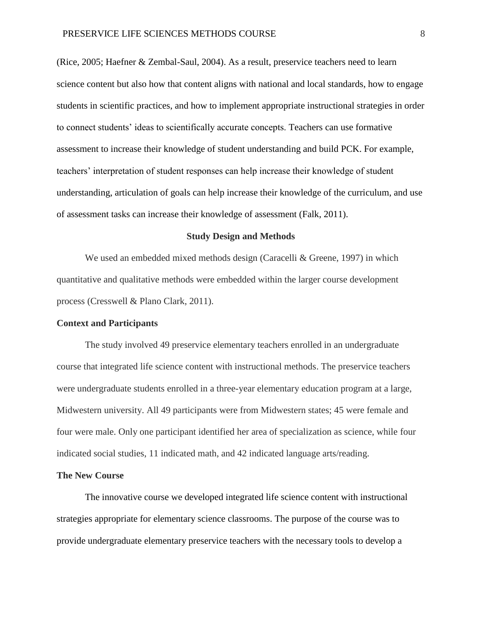(Rice, 2005; Haefner & Zembal-Saul, 2004). As a result, preservice teachers need to learn science content but also how that content aligns with national and local standards, how to engage students in scientific practices, and how to implement appropriate instructional strategies in order to connect students' ideas to scientifically accurate concepts. Teachers can use formative assessment to increase their knowledge of student understanding and build PCK. For example, teachers' interpretation of student responses can help increase their knowledge of student understanding, articulation of goals can help increase their knowledge of the curriculum, and use of assessment tasks can increase their knowledge of assessment (Falk, 2011).

#### **Study Design and Methods**

We used an embedded mixed methods design (Caracelli & Greene, 1997) in which quantitative and qualitative methods were embedded within the larger course development process (Cresswell & Plano Clark, 2011).

### **Context and Participants**

The study involved 49 preservice elementary teachers enrolled in an undergraduate course that integrated life science content with instructional methods. The preservice teachers were undergraduate students enrolled in a three-year elementary education program at a large, Midwestern university. All 49 participants were from Midwestern states; 45 were female and four were male. Only one participant identified her area of specialization as science, while four indicated social studies, 11 indicated math, and 42 indicated language arts/reading.

#### **The New Course**

The innovative course we developed integrated life science content with instructional strategies appropriate for elementary science classrooms. The purpose of the course was to provide undergraduate elementary preservice teachers with the necessary tools to develop a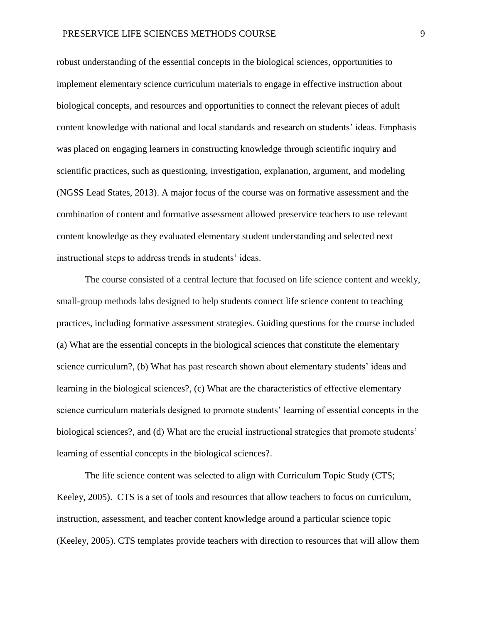robust understanding of the essential concepts in the biological sciences, opportunities to implement elementary science curriculum materials to engage in effective instruction about biological concepts, and resources and opportunities to connect the relevant pieces of adult content knowledge with national and local standards and research on students' ideas. Emphasis was placed on engaging learners in constructing knowledge through scientific inquiry and scientific practices, such as questioning, investigation, explanation, argument, and modeling (NGSS Lead States, 2013). A major focus of the course was on formative assessment and the combination of content and formative assessment allowed preservice teachers to use relevant content knowledge as they evaluated elementary student understanding and selected next instructional steps to address trends in students' ideas.

The course consisted of a central lecture that focused on life science content and weekly, small-group methods labs designed to help students connect life science content to teaching practices, including formative assessment strategies. Guiding questions for the course included (a) What are the essential concepts in the biological sciences that constitute the elementary science curriculum?, (b) What has past research shown about elementary students' ideas and learning in the biological sciences?, (c) What are the characteristics of effective elementary science curriculum materials designed to promote students' learning of essential concepts in the biological sciences?, and (d) What are the crucial instructional strategies that promote students' learning of essential concepts in the biological sciences?.

The life science content was selected to align with Curriculum Topic Study (CTS; Keeley, 2005). CTS is a set of tools and resources that allow teachers to focus on curriculum, instruction, assessment, and teacher content knowledge around a particular science topic (Keeley, 2005). CTS templates provide teachers with direction to resources that will allow them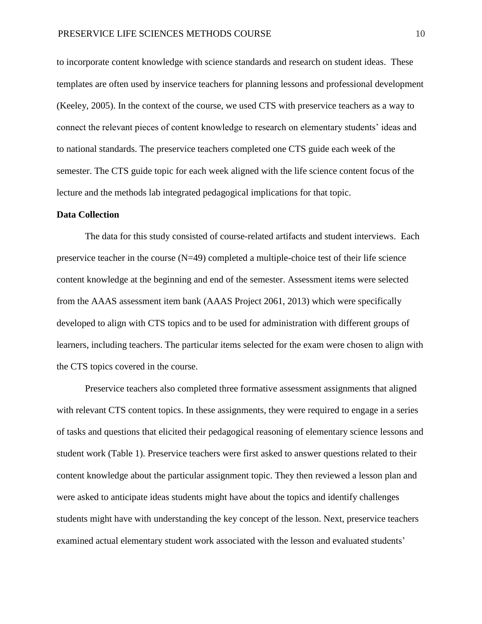to incorporate content knowledge with science standards and research on student ideas. These templates are often used by inservice teachers for planning lessons and professional development (Keeley, 2005). In the context of the course, we used CTS with preservice teachers as a way to connect the relevant pieces of content knowledge to research on elementary students' ideas and to national standards. The preservice teachers completed one CTS guide each week of the semester. The CTS guide topic for each week aligned with the life science content focus of the lecture and the methods lab integrated pedagogical implications for that topic.

#### **Data Collection**

The data for this study consisted of course-related artifacts and student interviews. Each preservice teacher in the course (N=49) completed a multiple-choice test of their life science content knowledge at the beginning and end of the semester. Assessment items were selected from the AAAS assessment item bank (AAAS Project 2061, 2013) which were specifically developed to align with CTS topics and to be used for administration with different groups of learners, including teachers. The particular items selected for the exam were chosen to align with the CTS topics covered in the course.

Preservice teachers also completed three formative assessment assignments that aligned with relevant CTS content topics. In these assignments, they were required to engage in a series of tasks and questions that elicited their pedagogical reasoning of elementary science lessons and student work (Table 1). Preservice teachers were first asked to answer questions related to their content knowledge about the particular assignment topic. They then reviewed a lesson plan and were asked to anticipate ideas students might have about the topics and identify challenges students might have with understanding the key concept of the lesson. Next, preservice teachers examined actual elementary student work associated with the lesson and evaluated students'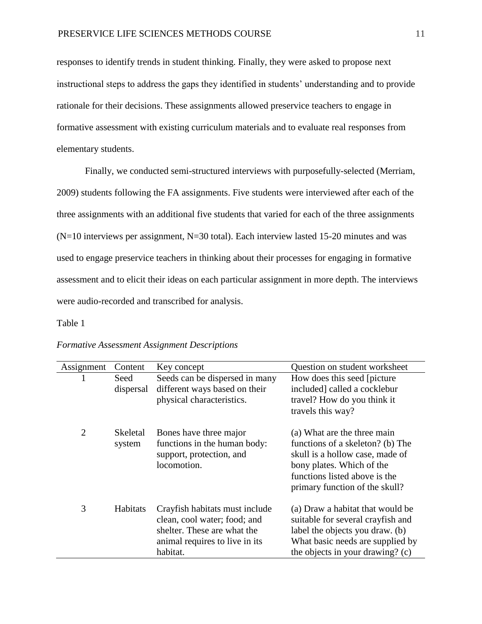responses to identify trends in student thinking. Finally, they were asked to propose next instructional steps to address the gaps they identified in students' understanding and to provide rationale for their decisions. These assignments allowed preservice teachers to engage in formative assessment with existing curriculum materials and to evaluate real responses from elementary students.

Finally, we conducted semi-structured interviews with purposefully-selected (Merriam, 2009) students following the FA assignments. Five students were interviewed after each of the three assignments with an additional five students that varied for each of the three assignments  $(N=10$  interviews per assignment, N=30 total). Each interview lasted 15-20 minutes and was used to engage preservice teachers in thinking about their processes for engaging in formative assessment and to elicit their ideas on each particular assignment in more depth. The interviews were audio-recorded and transcribed for analysis.

#### Table 1

| Assignment     | Content            | Key concept                                                                                                                                 | Question on student worksheet                                                                                                                                                                      |
|----------------|--------------------|---------------------------------------------------------------------------------------------------------------------------------------------|----------------------------------------------------------------------------------------------------------------------------------------------------------------------------------------------------|
|                | Seed<br>dispersal  | Seeds can be dispersed in many<br>different ways based on their<br>physical characteristics.                                                | How does this seed [picture]<br>included] called a cocklebur<br>travel? How do you think it<br>travels this way?                                                                                   |
| $\overline{2}$ | Skeletal<br>system | Bones have three major<br>functions in the human body:<br>support, protection, and<br>locomotion.                                           | (a) What are the three main<br>functions of a skeleton? (b) The<br>skull is a hollow case, made of<br>bony plates. Which of the<br>functions listed above is the<br>primary function of the skull? |
| 3              | Habitats           | Crayfish habitats must include<br>clean, cool water; food; and<br>shelter. These are what the<br>animal requires to live in its<br>habitat. | (a) Draw a habitat that would be<br>suitable for several crayfish and<br>label the objects you draw. (b)<br>What basic needs are supplied by<br>the objects in your drawing? (c)                   |

# *Formative Assessment Assignment Descriptions*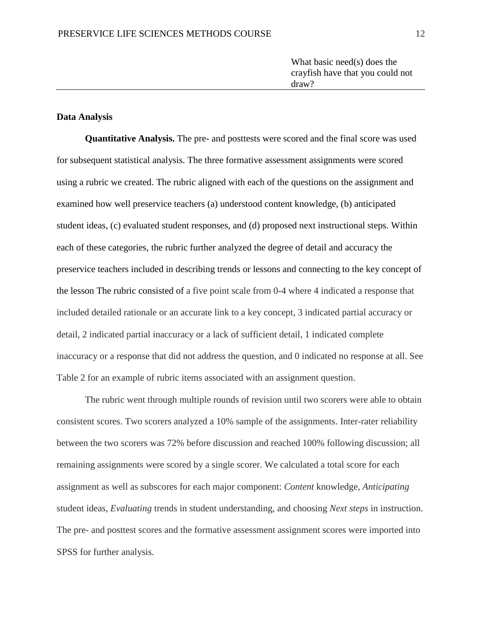What basic need(s) does the crayfish have that you could not draw?

# **Data Analysis**

**Quantitative Analysis.** The pre- and posttests were scored and the final score was used for subsequent statistical analysis. The three formative assessment assignments were scored using a rubric we created. The rubric aligned with each of the questions on the assignment and examined how well preservice teachers (a) understood content knowledge, (b) anticipated student ideas, (c) evaluated student responses, and (d) proposed next instructional steps. Within each of these categories, the rubric further analyzed the degree of detail and accuracy the preservice teachers included in describing trends or lessons and connecting to the key concept of the lesson The rubric consisted of a five point scale from 0-4 where 4 indicated a response that included detailed rationale or an accurate link to a key concept, 3 indicated partial accuracy or detail, 2 indicated partial inaccuracy or a lack of sufficient detail, 1 indicated complete inaccuracy or a response that did not address the question, and 0 indicated no response at all. See Table 2 for an example of rubric items associated with an assignment question.

The rubric went through multiple rounds of revision until two scorers were able to obtain consistent scores. Two scorers analyzed a 10% sample of the assignments. Inter-rater reliability between the two scorers was 72% before discussion and reached 100% following discussion; all remaining assignments were scored by a single scorer. We calculated a total score for each assignment as well as subscores for each major component: *Content* knowledge, *Anticipating* student ideas, *Evaluating* trends in student understanding, and choosing *Next steps* in instruction. The pre- and posttest scores and the formative assessment assignment scores were imported into SPSS for further analysis.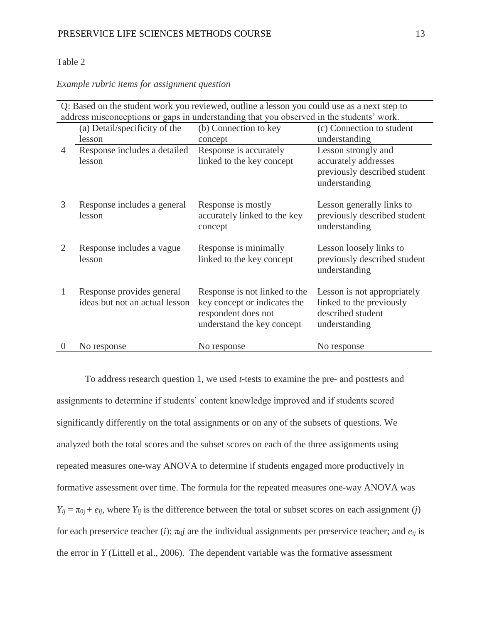# Table 2

# *Example rubric items for assignment question*

| Q: Based on the student work you reviewed, outline a lesson you could use as a next step to |                                                             |                                                                                                                    |                                                                                               |  |
|---------------------------------------------------------------------------------------------|-------------------------------------------------------------|--------------------------------------------------------------------------------------------------------------------|-----------------------------------------------------------------------------------------------|--|
| address misconceptions or gaps in understanding that you observed in the students' work.    |                                                             |                                                                                                                    |                                                                                               |  |
|                                                                                             | (a) Detail/specificity of the                               | (b) Connection to key                                                                                              | (c) Connection to student                                                                     |  |
|                                                                                             | lesson                                                      | concept                                                                                                            | understanding                                                                                 |  |
| 4                                                                                           | Response includes a detailed                                | Response is accurately                                                                                             | Lesson strongly and                                                                           |  |
|                                                                                             | lesson                                                      | linked to the key concept                                                                                          | accurately addresses                                                                          |  |
|                                                                                             |                                                             |                                                                                                                    | previously described student<br>understanding                                                 |  |
| 3                                                                                           | Response includes a general<br>lesson                       | Response is mostly<br>accurately linked to the key<br>concept                                                      | Lesson generally links to<br>previously described student<br>understanding                    |  |
| 2                                                                                           | Response includes a vague<br>lesson                         | Response is minimally<br>linked to the key concept                                                                 | Lesson loosely links to<br>previously described student<br>understanding                      |  |
| 1                                                                                           | Response provides general<br>ideas but not an actual lesson | Response is not linked to the<br>key concept or indicates the<br>respondent does not<br>understand the key concept | Lesson is not appropriately<br>linked to the previously<br>described student<br>understanding |  |
| $\theta$                                                                                    | No response                                                 | No response                                                                                                        | No response                                                                                   |  |

To address research question 1, we used *t*-tests to examine the pre- and posttests and assignments to determine if students' content knowledge improved and if students scored significantly differently on the total assignments or on any of the subsets of questions. We analyzed both the total scores and the subset scores on each of the three assignments using repeated measures one-way ANOVA to determine if students engaged more productively in formative assessment over time. The formula for the repeated measures one-way ANOVA was  $Y_{ij} = \pi_{0j} + e_{ij}$ , where  $Y_{ij}$  is the difference between the total or subset scores on each assignment (*j*) for each preservice teacher (*i*);  $\pi_{0}j$  are the individual assignments per preservice teacher; and  $e_{ij}$  is the error in *Y* (Littell et al., 2006). The dependent variable was the formative assessment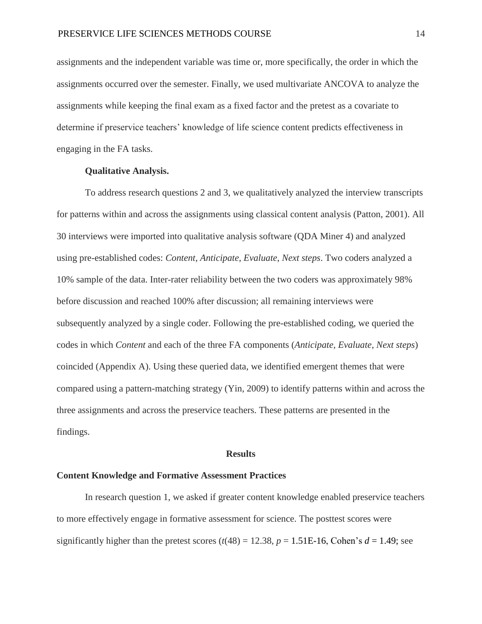assignments and the independent variable was time or, more specifically, the order in which the assignments occurred over the semester. Finally, we used multivariate ANCOVA to analyze the assignments while keeping the final exam as a fixed factor and the pretest as a covariate to determine if preservice teachers' knowledge of life science content predicts effectiveness in engaging in the FA tasks.

# **Qualitative Analysis.**

To address research questions 2 and 3, we qualitatively analyzed the interview transcripts for patterns within and across the assignments using classical content analysis (Patton, 2001). All 30 interviews were imported into qualitative analysis software (QDA Miner 4) and analyzed using pre-established codes: *Content*, *Anticipate*, *Evaluate*, *Next steps*. Two coders analyzed a 10% sample of the data. Inter-rater reliability between the two coders was approximately 98% before discussion and reached 100% after discussion; all remaining interviews were subsequently analyzed by a single coder. Following the pre-established coding, we queried the codes in which *Content* and each of the three FA components (*Anticipate*, *Evaluate*, *Next steps*) coincided (Appendix A). Using these queried data, we identified emergent themes that were compared using a pattern-matching strategy (Yin, 2009) to identify patterns within and across the three assignments and across the preservice teachers. These patterns are presented in the findings.

#### **Results**

## **Content Knowledge and Formative Assessment Practices**

In research question 1, we asked if greater content knowledge enabled preservice teachers to more effectively engage in formative assessment for science. The posttest scores were significantly higher than the pretest scores  $(t(48) = 12.38, p = 1.51E-16$ , Cohen's  $d = 1.49$ ; see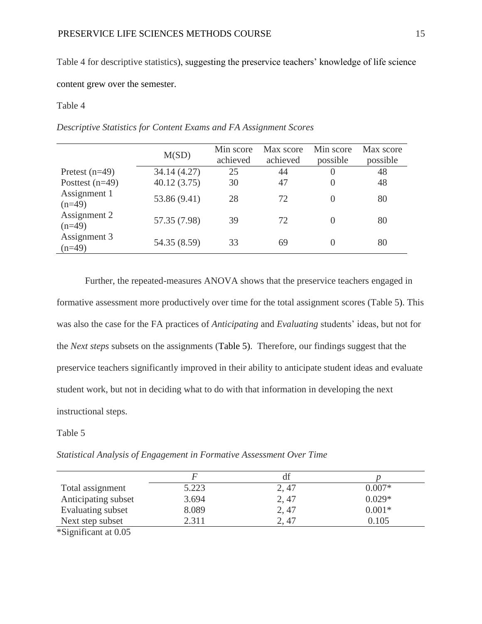Table 4 for descriptive statistics), suggesting the preservice teachers' knowledge of life science

# content grew over the semester.

# Table 4

*Descriptive Statistics for Content Exams and FA Assignment Scores*

|                          | M(SD)        | Min score<br>achieved | Max score<br>achieved | Min score<br>possible | Max score<br>possible |
|--------------------------|--------------|-----------------------|-----------------------|-----------------------|-----------------------|
| Pretest $(n=49)$         | 34.14 (4.27) | 25                    | 44                    | $\left( \right)$      | 48                    |
| Posttest $(n=49)$        | 40.12(3.75)  | 30                    | 47                    | 0                     | 48                    |
| Assignment 1<br>$(n=49)$ | 53.86 (9.41) | 28                    | 72                    | $\Omega$              | 80                    |
| Assignment 2<br>$(n=49)$ | 57.35 (7.98) | 39                    | 72                    | 0                     | 80                    |
| Assignment 3<br>$(n=49)$ | 54.35 (8.59) | 33                    | 69                    | 0                     | 80                    |

Further, the repeated-measures ANOVA shows that the preservice teachers engaged in formative assessment more productively over time for the total assignment scores (Table 5). This was also the case for the FA practices of *Anticipating* and *Evaluating* students' ideas, but not for the *Next steps* subsets on the assignments (Table 5). Therefore, our findings suggest that the preservice teachers significantly improved in their ability to anticipate student ideas and evaluate student work, but not in deciding what to do with that information in developing the next instructional steps.

# Table 5

*Statistical Analysis of Engagement in Formative Assessment Over Time*

| Total assignment                                                       | 5.223 | 2, 47 | $0.007*$ |
|------------------------------------------------------------------------|-------|-------|----------|
| Anticipating subset                                                    | 3.694 | 2, 47 | $0.029*$ |
| Evaluating subset                                                      | 8.089 | 2, 47 | $0.001*$ |
| Next step subset                                                       | 2.311 | 2, 47 | 0.105    |
| $\forall \Omega^*$ . $\Gamma^*$ , $\Gamma^*$ , $\Gamma^*$ , $\Gamma^*$ |       |       |          |

\*Significant at 0.05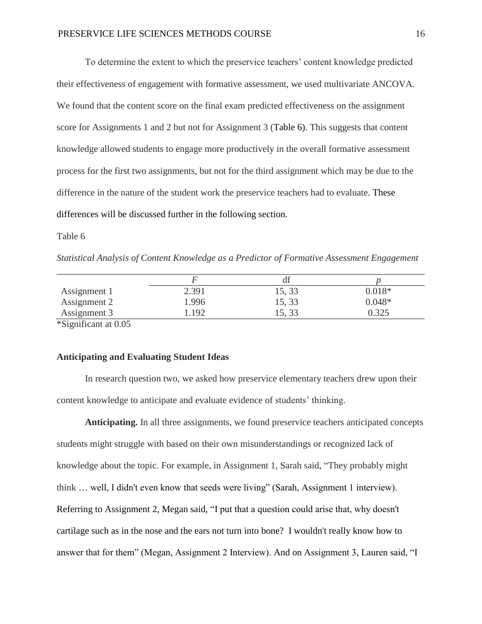To determine the extent to which the preservice teachers' content knowledge predicted their effectiveness of engagement with formative assessment, we used multivariate ANCOVA. We found that the content score on the final exam predicted effectiveness on the assignment score for Assignments 1 and 2 but not for Assignment 3 (Table 6). This suggests that content knowledge allowed students to engage more productively in the overall formative assessment process for the first two assignments, but not for the third assignment which may be due to the difference in the nature of the student work the preservice teachers had to evaluate. These differences will be discussed further in the following section.

Table 6

*Statistical Analysis of Content Knowledge as a Predictor of Formative Assessment Engagement*

|              |       | uі     |          |
|--------------|-------|--------|----------|
| Assignment 1 | 2.391 | 15, 33 | $0.018*$ |
| Assignment 2 | .996  | 15, 33 | $0.048*$ |
| Assignment 3 | 192   | 15, 33 | 0.325    |
| ----         |       |        |          |

\*Significant at 0.05

# **Anticipating and Evaluating Student Ideas**

In research question two, we asked how preservice elementary teachers drew upon their content knowledge to anticipate and evaluate evidence of students' thinking.

**Anticipating.** In all three assignments, we found preservice teachers anticipated concepts students might struggle with based on their own misunderstandings or recognized lack of knowledge about the topic. For example, in Assignment 1, Sarah said, "They probably might think … well, I didn't even know that seeds were living" (Sarah, Assignment 1 interview). Referring to Assignment 2, Megan said, "I put that a question could arise that, why doesn't cartilage such as in the nose and the ears not turn into bone? I wouldn't really know how to answer that for them" (Megan, Assignment 2 Interview). And on Assignment 3, Lauren said, "I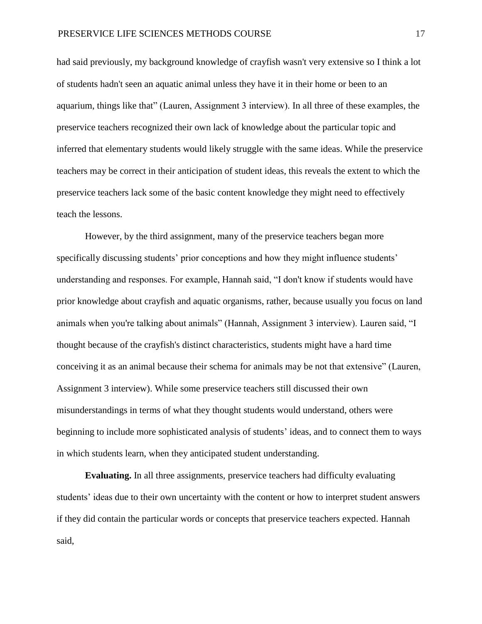had said previously, my background knowledge of crayfish wasn't very extensive so I think a lot of students hadn't seen an aquatic animal unless they have it in their home or been to an aquarium, things like that" (Lauren, Assignment 3 interview). In all three of these examples, the preservice teachers recognized their own lack of knowledge about the particular topic and inferred that elementary students would likely struggle with the same ideas. While the preservice teachers may be correct in their anticipation of student ideas, this reveals the extent to which the preservice teachers lack some of the basic content knowledge they might need to effectively teach the lessons.

However, by the third assignment, many of the preservice teachers began more specifically discussing students' prior conceptions and how they might influence students' understanding and responses. For example, Hannah said, "I don't know if students would have prior knowledge about crayfish and aquatic organisms, rather, because usually you focus on land animals when you're talking about animals" (Hannah, Assignment 3 interview). Lauren said, "I thought because of the crayfish's distinct characteristics, students might have a hard time conceiving it as an animal because their schema for animals may be not that extensive" (Lauren, Assignment 3 interview). While some preservice teachers still discussed their own misunderstandings in terms of what they thought students would understand, others were beginning to include more sophisticated analysis of students' ideas, and to connect them to ways in which students learn, when they anticipated student understanding.

**Evaluating.** In all three assignments, preservice teachers had difficulty evaluating students' ideas due to their own uncertainty with the content or how to interpret student answers if they did contain the particular words or concepts that preservice teachers expected. Hannah said,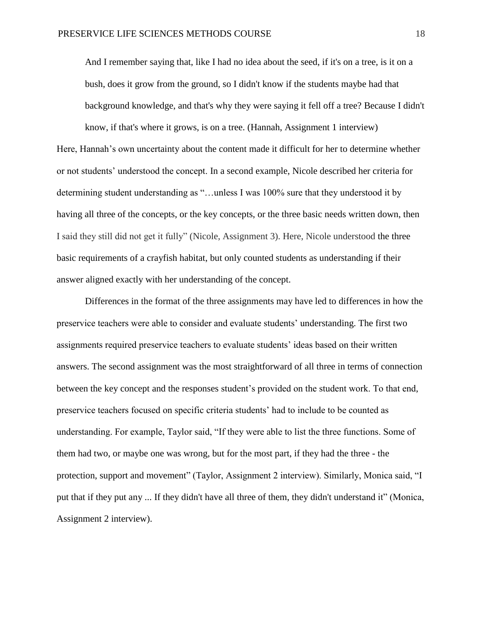And I remember saying that, like I had no idea about the seed, if it's on a tree, is it on a bush, does it grow from the ground, so I didn't know if the students maybe had that background knowledge, and that's why they were saying it fell off a tree? Because I didn't

know, if that's where it grows, is on a tree. (Hannah, Assignment 1 interview) Here, Hannah's own uncertainty about the content made it difficult for her to determine whether or not students' understood the concept. In a second example, Nicole described her criteria for determining student understanding as "…unless I was 100% sure that they understood it by having all three of the concepts, or the key concepts, or the three basic needs written down, then I said they still did not get it fully" (Nicole, Assignment 3). Here, Nicole understood the three basic requirements of a crayfish habitat, but only counted students as understanding if their answer aligned exactly with her understanding of the concept.

Differences in the format of the three assignments may have led to differences in how the preservice teachers were able to consider and evaluate students' understanding. The first two assignments required preservice teachers to evaluate students' ideas based on their written answers. The second assignment was the most straightforward of all three in terms of connection between the key concept and the responses student's provided on the student work. To that end, preservice teachers focused on specific criteria students' had to include to be counted as understanding. For example, Taylor said, "If they were able to list the three functions. Some of them had two, or maybe one was wrong, but for the most part, if they had the three - the protection, support and movement" (Taylor, Assignment 2 interview). Similarly, Monica said, "I put that if they put any ... If they didn't have all three of them, they didn't understand it" (Monica, Assignment 2 interview).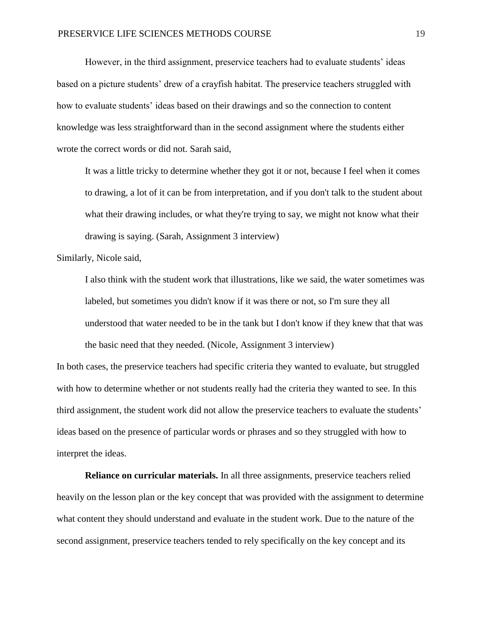However, in the third assignment, preservice teachers had to evaluate students' ideas based on a picture students' drew of a crayfish habitat. The preservice teachers struggled with how to evaluate students' ideas based on their drawings and so the connection to content knowledge was less straightforward than in the second assignment where the students either wrote the correct words or did not. Sarah said,

It was a little tricky to determine whether they got it or not, because I feel when it comes to drawing, a lot of it can be from interpretation, and if you don't talk to the student about what their drawing includes, or what they're trying to say, we might not know what their drawing is saying. (Sarah, Assignment 3 interview)

Similarly, Nicole said,

I also think with the student work that illustrations, like we said, the water sometimes was labeled, but sometimes you didn't know if it was there or not, so I'm sure they all understood that water needed to be in the tank but I don't know if they knew that that was the basic need that they needed. (Nicole, Assignment 3 interview)

In both cases, the preservice teachers had specific criteria they wanted to evaluate, but struggled with how to determine whether or not students really had the criteria they wanted to see. In this third assignment, the student work did not allow the preservice teachers to evaluate the students' ideas based on the presence of particular words or phrases and so they struggled with how to interpret the ideas.

**Reliance on curricular materials.** In all three assignments, preservice teachers relied heavily on the lesson plan or the key concept that was provided with the assignment to determine what content they should understand and evaluate in the student work. Due to the nature of the second assignment, preservice teachers tended to rely specifically on the key concept and its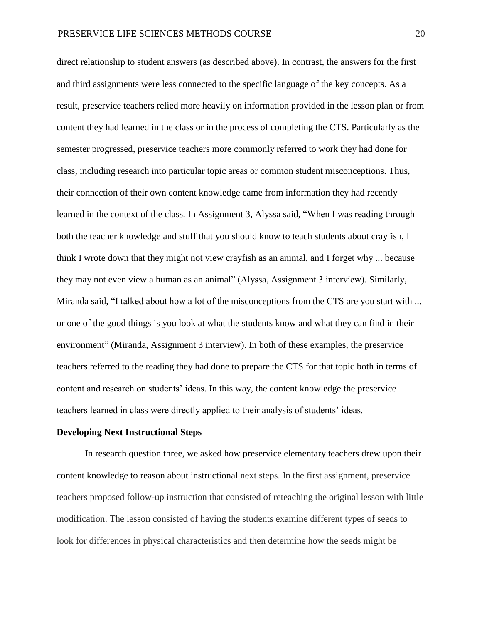direct relationship to student answers (as described above). In contrast, the answers for the first and third assignments were less connected to the specific language of the key concepts. As a result, preservice teachers relied more heavily on information provided in the lesson plan or from content they had learned in the class or in the process of completing the CTS. Particularly as the semester progressed, preservice teachers more commonly referred to work they had done for class, including research into particular topic areas or common student misconceptions. Thus, their connection of their own content knowledge came from information they had recently learned in the context of the class. In Assignment 3, Alyssa said, "When I was reading through both the teacher knowledge and stuff that you should know to teach students about crayfish, I think I wrote down that they might not view crayfish as an animal, and I forget why ... because they may not even view a human as an animal" (Alyssa, Assignment 3 interview). Similarly, Miranda said, "I talked about how a lot of the misconceptions from the CTS are you start with ... or one of the good things is you look at what the students know and what they can find in their environment" (Miranda, Assignment 3 interview). In both of these examples, the preservice teachers referred to the reading they had done to prepare the CTS for that topic both in terms of content and research on students' ideas. In this way, the content knowledge the preservice teachers learned in class were directly applied to their analysis of students' ideas.

#### **Developing Next Instructional Steps**

In research question three, we asked how preservice elementary teachers drew upon their content knowledge to reason about instructional next steps. In the first assignment, preservice teachers proposed follow-up instruction that consisted of reteaching the original lesson with little modification. The lesson consisted of having the students examine different types of seeds to look for differences in physical characteristics and then determine how the seeds might be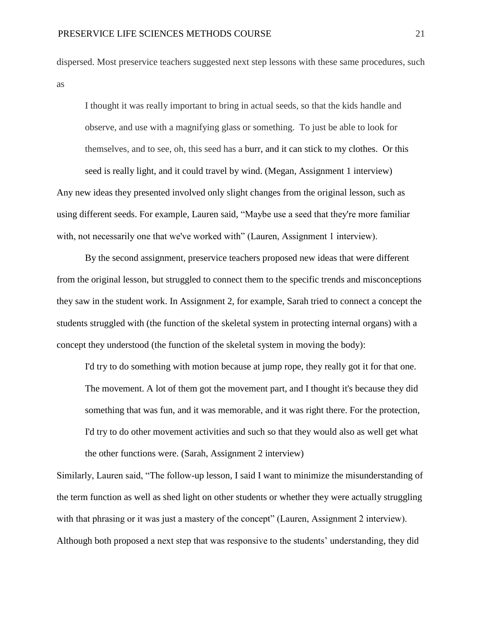dispersed. Most preservice teachers suggested next step lessons with these same procedures, such as

I thought it was really important to bring in actual seeds, so that the kids handle and observe, and use with a magnifying glass or something. To just be able to look for themselves, and to see, oh, this seed has a burr, and it can stick to my clothes. Or this seed is really light, and it could travel by wind. (Megan, Assignment 1 interview) Any new ideas they presented involved only slight changes from the original lesson, such as using different seeds. For example, Lauren said, "Maybe use a seed that they're more familiar with, not necessarily one that we've worked with" (Lauren, Assignment 1 interview).

By the second assignment, preservice teachers proposed new ideas that were different from the original lesson, but struggled to connect them to the specific trends and misconceptions they saw in the student work. In Assignment 2, for example, Sarah tried to connect a concept the students struggled with (the function of the skeletal system in protecting internal organs) with a concept they understood (the function of the skeletal system in moving the body):

I'd try to do something with motion because at jump rope, they really got it for that one. The movement. A lot of them got the movement part, and I thought it's because they did something that was fun, and it was memorable, and it was right there. For the protection, I'd try to do other movement activities and such so that they would also as well get what the other functions were. (Sarah, Assignment 2 interview)

Similarly, Lauren said, "The follow-up lesson, I said I want to minimize the misunderstanding of the term function as well as shed light on other students or whether they were actually struggling with that phrasing or it was just a mastery of the concept" (Lauren, Assignment 2 interview). Although both proposed a next step that was responsive to the students' understanding, they did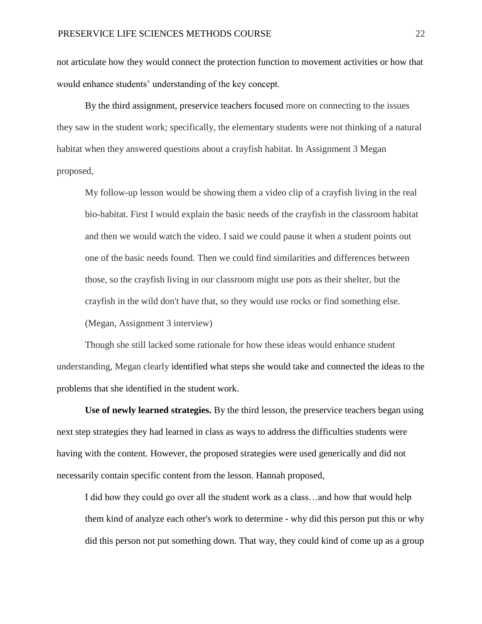not articulate how they would connect the protection function to movement activities or how that would enhance students' understanding of the key concept.

By the third assignment, preservice teachers focused more on connecting to the issues they saw in the student work; specifically, the elementary students were not thinking of a natural habitat when they answered questions about a crayfish habitat. In Assignment 3 Megan proposed,

My follow-up lesson would be showing them a video clip of a crayfish living in the real bio-habitat. First I would explain the basic needs of the crayfish in the classroom habitat and then we would watch the video. I said we could pause it when a student points out one of the basic needs found. Then we could find similarities and differences between those, so the crayfish living in our classroom might use pots as their shelter, but the crayfish in the wild don't have that, so they would use rocks or find something else. (Megan, Assignment 3 interview)

Though she still lacked some rationale for how these ideas would enhance student understanding, Megan clearly identified what steps she would take and connected the ideas to the problems that she identified in the student work.

**Use of newly learned strategies.** By the third lesson, the preservice teachers began using next step strategies they had learned in class as ways to address the difficulties students were having with the content. However, the proposed strategies were used generically and did not necessarily contain specific content from the lesson. Hannah proposed,

I did how they could go over all the student work as a class…and how that would help them kind of analyze each other's work to determine - why did this person put this or why did this person not put something down. That way, they could kind of come up as a group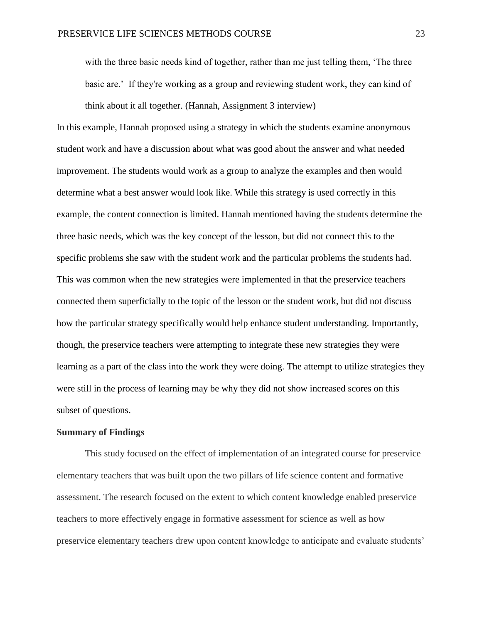with the three basic needs kind of together, rather than me just telling them, 'The three basic are.' If they're working as a group and reviewing student work, they can kind of think about it all together. (Hannah, Assignment 3 interview)

In this example, Hannah proposed using a strategy in which the students examine anonymous student work and have a discussion about what was good about the answer and what needed improvement. The students would work as a group to analyze the examples and then would determine what a best answer would look like. While this strategy is used correctly in this example, the content connection is limited. Hannah mentioned having the students determine the three basic needs, which was the key concept of the lesson, but did not connect this to the specific problems she saw with the student work and the particular problems the students had. This was common when the new strategies were implemented in that the preservice teachers connected them superficially to the topic of the lesson or the student work, but did not discuss how the particular strategy specifically would help enhance student understanding. Importantly, though, the preservice teachers were attempting to integrate these new strategies they were learning as a part of the class into the work they were doing. The attempt to utilize strategies they were still in the process of learning may be why they did not show increased scores on this subset of questions.

### **Summary of Findings**

This study focused on the effect of implementation of an integrated course for preservice elementary teachers that was built upon the two pillars of life science content and formative assessment. The research focused on the extent to which content knowledge enabled preservice teachers to more effectively engage in formative assessment for science as well as how preservice elementary teachers drew upon content knowledge to anticipate and evaluate students'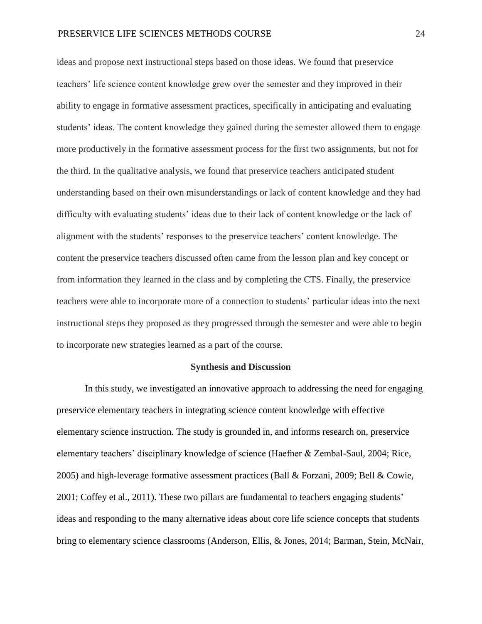ideas and propose next instructional steps based on those ideas. We found that preservice teachers' life science content knowledge grew over the semester and they improved in their ability to engage in formative assessment practices, specifically in anticipating and evaluating students' ideas. The content knowledge they gained during the semester allowed them to engage more productively in the formative assessment process for the first two assignments, but not for the third. In the qualitative analysis, we found that preservice teachers anticipated student understanding based on their own misunderstandings or lack of content knowledge and they had difficulty with evaluating students' ideas due to their lack of content knowledge or the lack of alignment with the students' responses to the preservice teachers' content knowledge. The content the preservice teachers discussed often came from the lesson plan and key concept or from information they learned in the class and by completing the CTS. Finally, the preservice teachers were able to incorporate more of a connection to students' particular ideas into the next instructional steps they proposed as they progressed through the semester and were able to begin to incorporate new strategies learned as a part of the course.

#### **Synthesis and Discussion**

In this study, we investigated an innovative approach to addressing the need for engaging preservice elementary teachers in integrating science content knowledge with effective elementary science instruction. The study is grounded in, and informs research on, preservice elementary teachers' disciplinary knowledge of science (Haefner & Zembal-Saul, 2004; Rice, 2005) and high-leverage formative assessment practices (Ball & Forzani, 2009; Bell & Cowie, 2001; Coffey et al., 2011). These two pillars are fundamental to teachers engaging students' ideas and responding to the many alternative ideas about core life science concepts that students bring to elementary science classrooms (Anderson, Ellis, & Jones, 2014; Barman, Stein, McNair,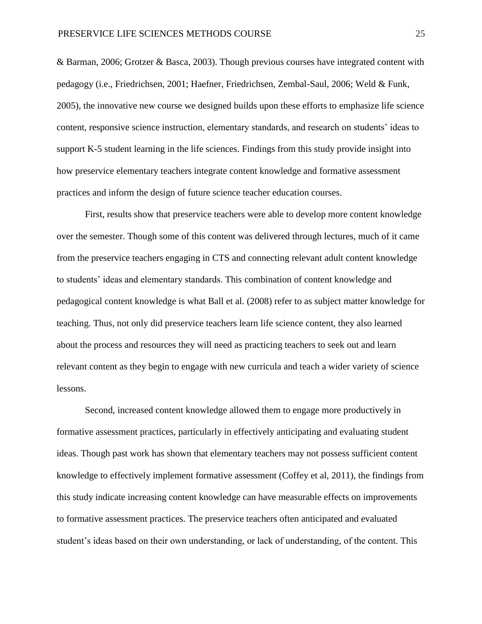& Barman, 2006; Grotzer & Basca, 2003). Though previous courses have integrated content with pedagogy (i.e., Friedrichsen, 2001; Haefner, Friedrichsen, Zembal-Saul, 2006; Weld & Funk, 2005), the innovative new course we designed builds upon these efforts to emphasize life science content, responsive science instruction, elementary standards, and research on students' ideas to support K-5 student learning in the life sciences. Findings from this study provide insight into how preservice elementary teachers integrate content knowledge and formative assessment practices and inform the design of future science teacher education courses.

First, results show that preservice teachers were able to develop more content knowledge over the semester. Though some of this content was delivered through lectures, much of it came from the preservice teachers engaging in CTS and connecting relevant adult content knowledge to students' ideas and elementary standards. This combination of content knowledge and pedagogical content knowledge is what Ball et al. (2008) refer to as subject matter knowledge for teaching. Thus, not only did preservice teachers learn life science content, they also learned about the process and resources they will need as practicing teachers to seek out and learn relevant content as they begin to engage with new curricula and teach a wider variety of science lessons.

Second, increased content knowledge allowed them to engage more productively in formative assessment practices, particularly in effectively anticipating and evaluating student ideas. Though past work has shown that elementary teachers may not possess sufficient content knowledge to effectively implement formative assessment (Coffey et al, 2011), the findings from this study indicate increasing content knowledge can have measurable effects on improvements to formative assessment practices. The preservice teachers often anticipated and evaluated student's ideas based on their own understanding, or lack of understanding, of the content. This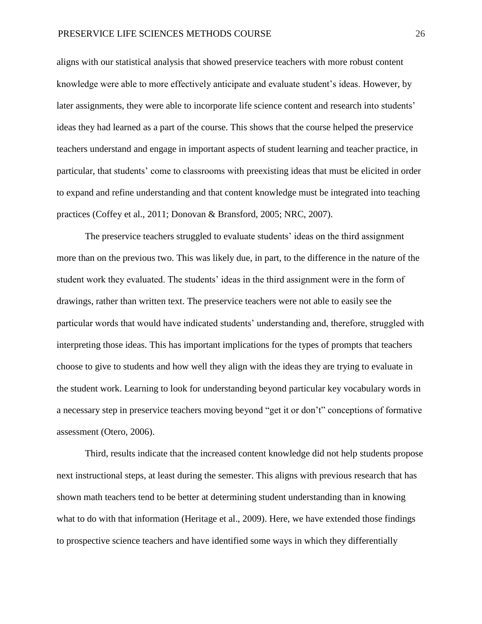aligns with our statistical analysis that showed preservice teachers with more robust content knowledge were able to more effectively anticipate and evaluate student's ideas. However, by later assignments, they were able to incorporate life science content and research into students' ideas they had learned as a part of the course. This shows that the course helped the preservice teachers understand and engage in important aspects of student learning and teacher practice, in particular, that students' come to classrooms with preexisting ideas that must be elicited in order to expand and refine understanding and that content knowledge must be integrated into teaching practices (Coffey et al., 2011; Donovan & Bransford, 2005; NRC, 2007).

The preservice teachers struggled to evaluate students' ideas on the third assignment more than on the previous two. This was likely due, in part, to the difference in the nature of the student work they evaluated. The students' ideas in the third assignment were in the form of drawings, rather than written text. The preservice teachers were not able to easily see the particular words that would have indicated students' understanding and, therefore, struggled with interpreting those ideas. This has important implications for the types of prompts that teachers choose to give to students and how well they align with the ideas they are trying to evaluate in the student work. Learning to look for understanding beyond particular key vocabulary words in a necessary step in preservice teachers moving beyond "get it or don't" conceptions of formative assessment (Otero, 2006).

Third, results indicate that the increased content knowledge did not help students propose next instructional steps, at least during the semester. This aligns with previous research that has shown math teachers tend to be better at determining student understanding than in knowing what to do with that information (Heritage et al., 2009). Here, we have extended those findings to prospective science teachers and have identified some ways in which they differentially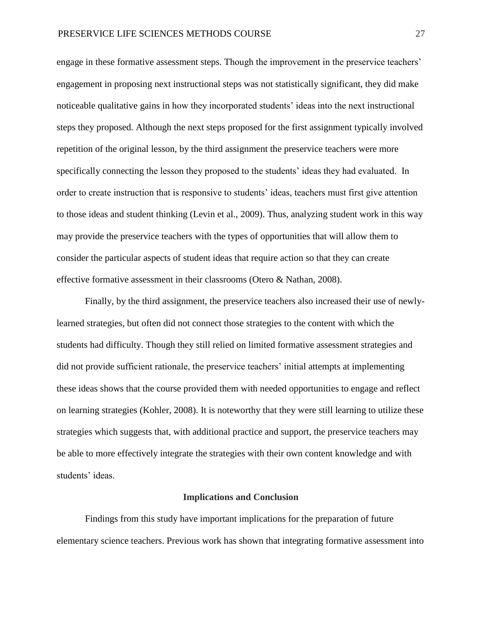engage in these formative assessment steps. Though the improvement in the preservice teachers' engagement in proposing next instructional steps was not statistically significant, they did make noticeable qualitative gains in how they incorporated students' ideas into the next instructional steps they proposed. Although the next steps proposed for the first assignment typically involved repetition of the original lesson, by the third assignment the preservice teachers were more specifically connecting the lesson they proposed to the students' ideas they had evaluated. In order to create instruction that is responsive to students' ideas, teachers must first give attention to those ideas and student thinking (Levin et al., 2009). Thus, analyzing student work in this way may provide the preservice teachers with the types of opportunities that will allow them to consider the particular aspects of student ideas that require action so that they can create effective formative assessment in their classrooms (Otero & Nathan, 2008).

Finally, by the third assignment, the preservice teachers also increased their use of newlylearned strategies, but often did not connect those strategies to the content with which the students had difficulty. Though they still relied on limited formative assessment strategies and did not provide sufficient rationale, the preservice teachers' initial attempts at implementing these ideas shows that the course provided them with needed opportunities to engage and reflect on learning strategies (Kohler, 2008). It is noteworthy that they were still learning to utilize these strategies which suggests that, with additional practice and support, the preservice teachers may be able to more effectively integrate the strategies with their own content knowledge and with students' ideas.

#### **Implications and Conclusion**

Findings from this study have important implications for the preparation of future elementary science teachers. Previous work has shown that integrating formative assessment into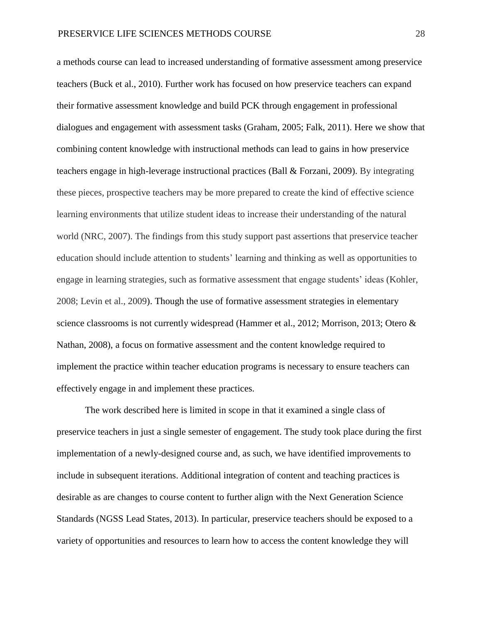a methods course can lead to increased understanding of formative assessment among preservice teachers (Buck et al., 2010). Further work has focused on how preservice teachers can expand their formative assessment knowledge and build PCK through engagement in professional dialogues and engagement with assessment tasks (Graham, 2005; Falk, 2011). Here we show that combining content knowledge with instructional methods can lead to gains in how preservice teachers engage in high-leverage instructional practices (Ball & Forzani, 2009). By integrating these pieces, prospective teachers may be more prepared to create the kind of effective science learning environments that utilize student ideas to increase their understanding of the natural world (NRC, 2007). The findings from this study support past assertions that preservice teacher education should include attention to students' learning and thinking as well as opportunities to engage in learning strategies, such as formative assessment that engage students' ideas (Kohler, 2008; Levin et al., 2009). Though the use of formative assessment strategies in elementary science classrooms is not currently widespread (Hammer et al., 2012; Morrison, 2013; Otero & Nathan, 2008), a focus on formative assessment and the content knowledge required to implement the practice within teacher education programs is necessary to ensure teachers can effectively engage in and implement these practices.

The work described here is limited in scope in that it examined a single class of preservice teachers in just a single semester of engagement. The study took place during the first implementation of a newly-designed course and, as such, we have identified improvements to include in subsequent iterations. Additional integration of content and teaching practices is desirable as are changes to course content to further align with the Next Generation Science Standards (NGSS Lead States, 2013). In particular, preservice teachers should be exposed to a variety of opportunities and resources to learn how to access the content knowledge they will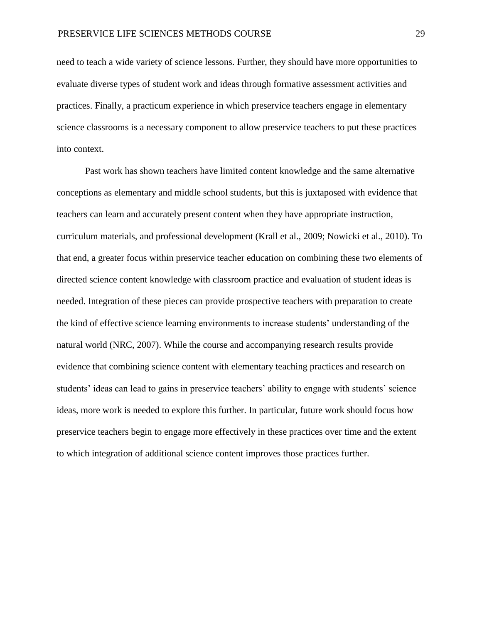need to teach a wide variety of science lessons. Further, they should have more opportunities to evaluate diverse types of student work and ideas through formative assessment activities and practices. Finally, a practicum experience in which preservice teachers engage in elementary science classrooms is a necessary component to allow preservice teachers to put these practices into context.

Past work has shown teachers have limited content knowledge and the same alternative conceptions as elementary and middle school students, but this is juxtaposed with evidence that teachers can learn and accurately present content when they have appropriate instruction, curriculum materials, and professional development (Krall et al., 2009; Nowicki et al., 2010). To that end, a greater focus within preservice teacher education on combining these two elements of directed science content knowledge with classroom practice and evaluation of student ideas is needed. Integration of these pieces can provide prospective teachers with preparation to create the kind of effective science learning environments to increase students' understanding of the natural world (NRC, 2007). While the course and accompanying research results provide evidence that combining science content with elementary teaching practices and research on students' ideas can lead to gains in preservice teachers' ability to engage with students' science ideas, more work is needed to explore this further. In particular, future work should focus how preservice teachers begin to engage more effectively in these practices over time and the extent to which integration of additional science content improves those practices further.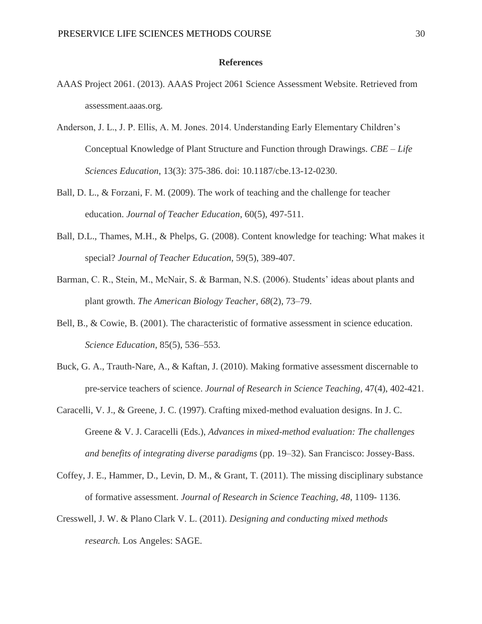### **References**

- AAAS Project 2061. (2013). AAAS Project 2061 Science Assessment Website. Retrieved from assessment.aaas.org.
- Anderson, J. L., J. P. Ellis, A. M. Jones. 2014. Understanding Early Elementary Children's Conceptual Knowledge of Plant Structure and Function through Drawings. *CBE – Life Sciences Education*, 13(3): 375-386. doi: 10.1187/cbe.13-12-0230.
- Ball, D. L., & Forzani, F. M. (2009). The work of teaching and the challenge for teacher education. *Journal of Teacher Education*, 60(5), 497-511.
- Ball, D.L., Thames, M.H., & Phelps, G. (2008). Content knowledge for teaching: What makes it special? *Journal of Teacher Education*, 59(5), 389-407.
- Barman, C. R., Stein, M., McNair, S. & Barman, N.S. (2006). Students' ideas about plants and plant growth. *The American Biology Teacher, 68*(2), 73–79.
- Bell, B., & Cowie, B. (2001). The characteristic of formative assessment in science education. *Science Education*, 85(5), 536–553.
- Buck, G. A., Trauth-Nare, A., & Kaftan, J. (2010). Making formative assessment discernable to pre-service teachers of science. *Journal of Research in Science Teaching*, 47(4), 402-421.
- Caracelli, V. J., & Greene, J. C. (1997). Crafting mixed-method evaluation designs. In J. C. Greene & V. J. Caracelli (Eds.), *Advances in mixed-method evaluation: The challenges and benefits of integrating diverse paradigms* (pp. 19–32). San Francisco: Jossey-Bass.
- Coffey, J. E., Hammer, D., Levin, D. M., & Grant, T. (2011). The missing disciplinary substance of formative assessment. *Journal of Research in Science Teaching, 48*, 1109- 1136.
- Cresswell, J. W. & Plano Clark V. L. (2011). *Designing and conducting mixed methods research.* Los Angeles: SAGE.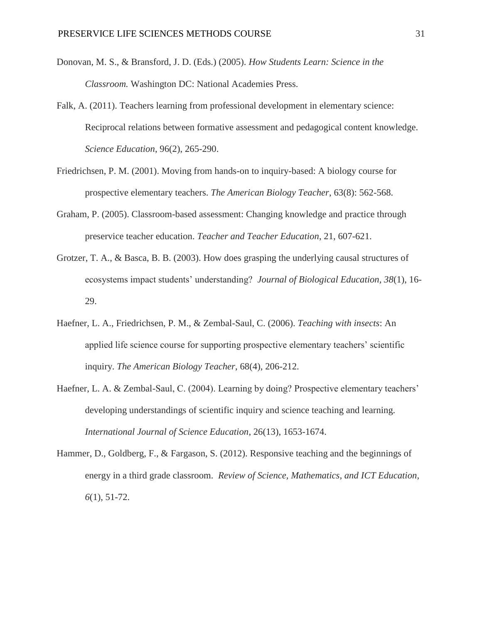- Donovan, M. S., & Bransford, J. D. (Eds.) (2005). *How Students Learn: Science in the Classroom.* Washington DC: National Academies Press.
- Falk, A. (2011). Teachers learning from professional development in elementary science: Reciprocal relations between formative assessment and pedagogical content knowledge. *Science Education*, 96(2), 265-290.
- Friedrichsen, P. M. (2001). Moving from hands-on to inquiry-based: A biology course for prospective elementary teachers. *The American Biology Teacher*, 63(8): 562-568.
- Graham, P. (2005). Classroom-based assessment: Changing knowledge and practice through preservice teacher education. *Teacher and Teacher Education*, 21, 607-621.
- Grotzer, T. A., & Basca, B. B. (2003). How does grasping the underlying causal structures of ecosystems impact students' understanding? *Journal of Biological Education, 38*(1), 16- 29.
- Haefner, L. A., Friedrichsen, P. M., & Zembal-Saul, C. (2006). *Teaching with insects*: An applied life science course for supporting prospective elementary teachers' scientific inquiry. *The American Biology Teacher*, 68(4), 206-212.
- Haefner, L. A. & Zembal-Saul, C. (2004). Learning by doing? Prospective elementary teachers' developing understandings of scientific inquiry and science teaching and learning. *International Journal of Science Education*, 26(13), 1653-1674.
- Hammer, D., Goldberg, F., & Fargason, S. (2012). Responsive teaching and the beginnings of energy in a third grade classroom. *Review of Science, Mathematics, and ICT Education, 6*(1), 51-72.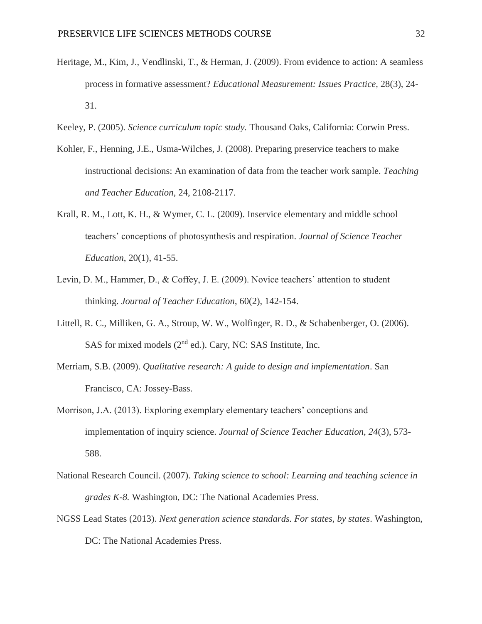- Heritage, M., Kim, J., Vendlinski, T., & Herman, J. (2009). From evidence to action: A seamless process in formative assessment? *Educational Measurement: Issues Practice,* 28(3), 24- 31.
- Keeley, P. (2005). *Science curriculum topic study.* Thousand Oaks, California: Corwin Press.
- Kohler, F., Henning, J.E., Usma-Wilches, J. (2008). Preparing preservice teachers to make instructional decisions: An examination of data from the teacher work sample. *Teaching and Teacher Education*, 24, 2108-2117.
- Krall, R. M., Lott, K. H., & Wymer, C. L. (2009). Inservice elementary and middle school teachers' conceptions of photosynthesis and respiration. *Journal of Science Teacher Education*, 20(1), 41-55.
- Levin, D. M., Hammer, D., & Coffey, J. E. (2009). Novice teachers' attention to student thinking. *Journal of Teacher Education*, 60(2), 142-154.
- Littell, R. C., Milliken, G. A., Stroup, W. W., Wolfinger, R. D., & Schabenberger, O. (2006). SAS for mixed models  $(2<sup>nd</sup>$  ed.). Cary, NC: SAS Institute, Inc.
- Merriam, S.B. (2009). *Qualitative research: A guide to design and implementation*. San Francisco, CA: Jossey-Bass.
- Morrison, J.A. (2013). Exploring exemplary elementary teachers' conceptions and implementation of inquiry science. *Journal of Science Teacher Education, 24*(3), 573- 588.
- National Research Council. (2007). *Taking science to school: Learning and teaching science in grades K-8.* Washington, DC: The National Academies Press.
- NGSS Lead States (2013). *Next generation science standards. For states, by states*. Washington, DC: The National Academies Press.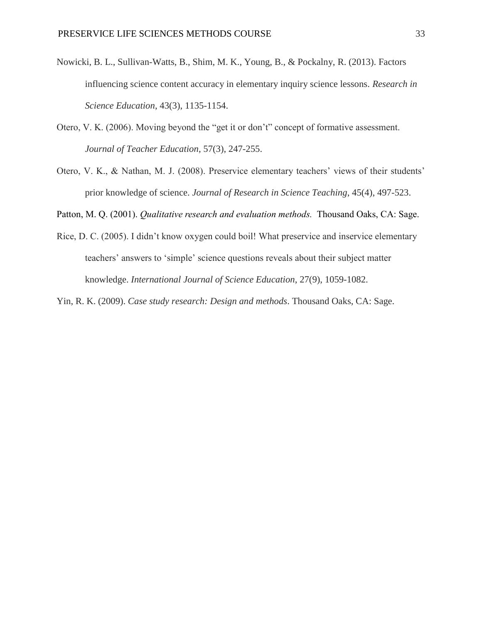- Nowicki, B. L., Sullivan-Watts, B., Shim, M. K., Young, B., & Pockalny, R. (2013). Factors influencing science content accuracy in elementary inquiry science lessons. *Research in Science Education*, 43(3), 1135-1154.
- Otero, V. K. (2006). Moving beyond the "get it or don't" concept of formative assessment. *Journal of Teacher Education*, 57(3), 247-255.
- Otero, V. K., & Nathan, M. J. (2008). Preservice elementary teachers' views of their students' prior knowledge of science. *Journal of Research in Science Teaching*, 45(4), 497-523.

Patton, M. Q. (2001). *Qualitative research and evaluation methods.* Thousand Oaks, CA: Sage.

Rice, D. C. (2005). I didn't know oxygen could boil! What preservice and inservice elementary teachers' answers to 'simple' science questions reveals about their subject matter knowledge. *International Journal of Science Education*, 27(9), 1059-1082.

Yin, R. K. (2009). *Case study research: Design and methods*. Thousand Oaks, CA: Sage.